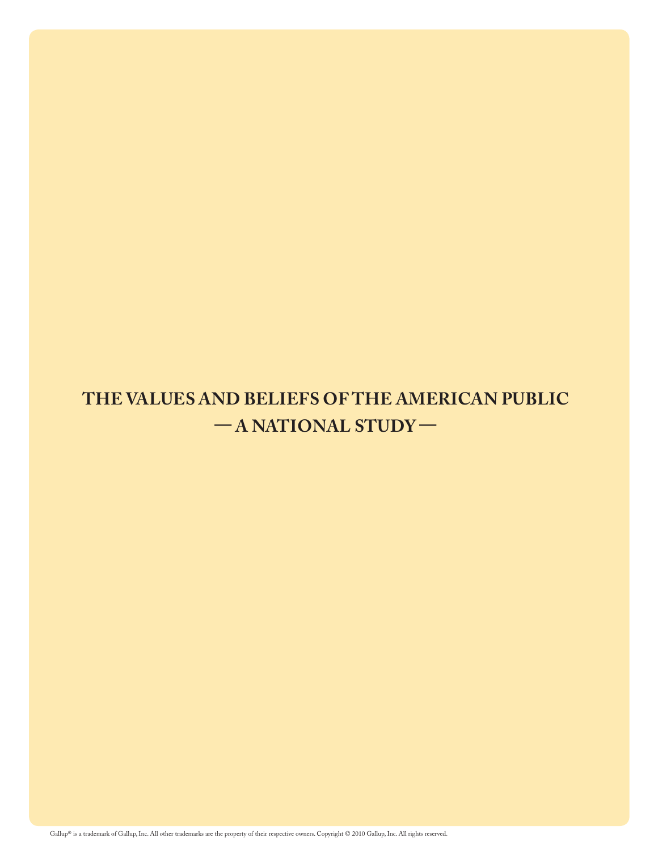## **THE VALUES AND BELIEFS OF THE AMERICAN PUBLIC — A NATIONAL STUDY —**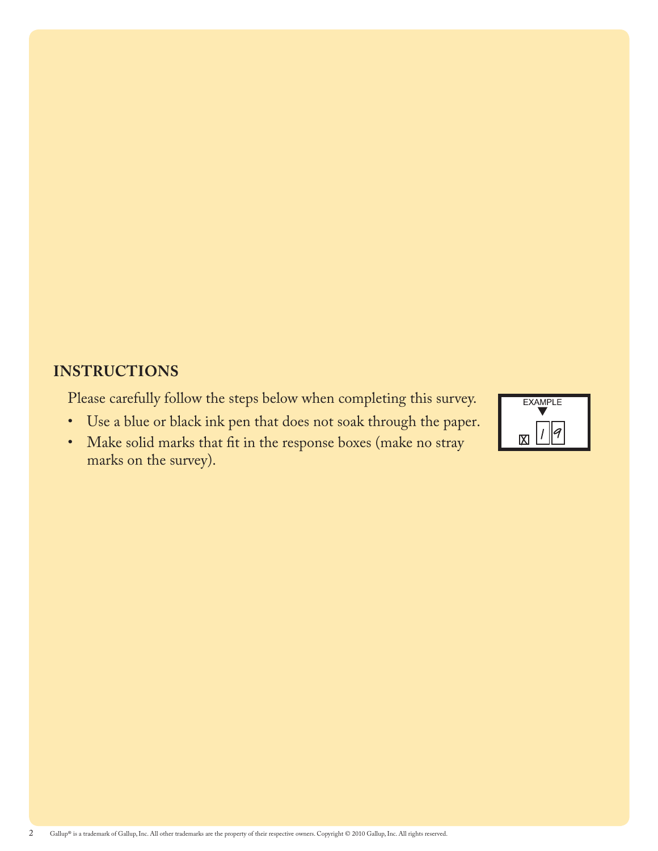### **Instructions**

Please carefully follow the steps below when completing this survey.

• Use a blue or black ink pen that does not soak through the paper.



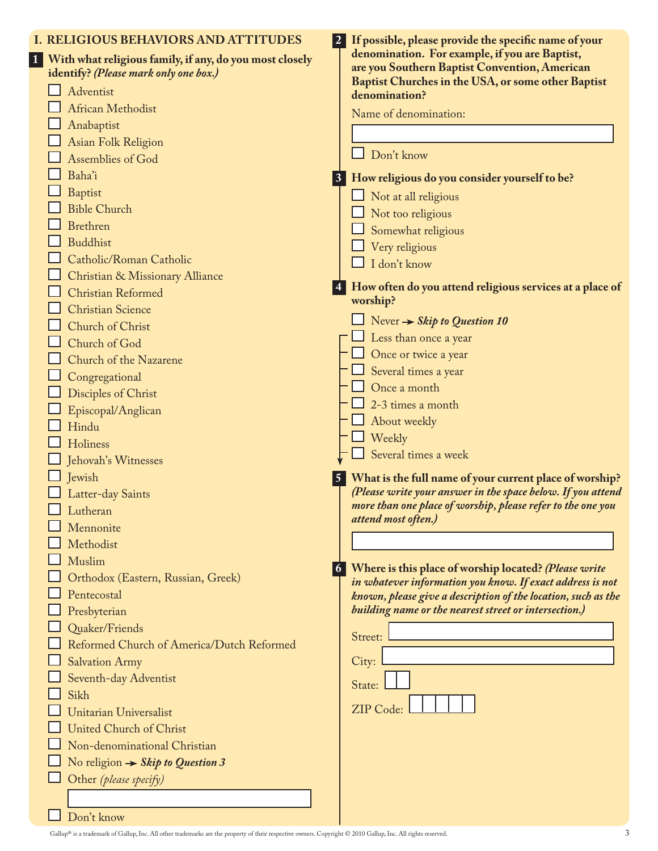| denomination. For example, if you are Baptist,<br>1 With what religious family, if any, do you most closely<br>are you Southern Baptist Convention, American<br>identify? (Please mark only one box.)<br>Baptist Churches in the USA, or some other Baptist<br>Adventist<br>denomination?<br><b>African Methodist</b><br>Name of denomination:<br>Anabaptist<br>Asian Folk Religion<br>Don't know<br>Assemblies of God<br>Baha'i<br>3 How religious do you consider yourself to be?<br><b>Baptist</b><br>$\Box$ Not at all religious<br><b>Bible Church</b><br>Not too religious<br><b>Brethren</b><br>Somewhat religious<br><b>Buddhist</b><br>Very religious<br>Catholic/Roman Catholic<br>I don't know<br>Christian & Missionary Alliance<br>How often do you attend religious services at a place of<br><b>Christian Reformed</b><br>worship?<br><b>Christian Science</b><br>$\Box$ Never $\rightarrow$ Skip to Question 10<br>Church of Christ<br>Less than once a year<br>Church of God<br>$\Box$ Once or twice a year<br>Church of the Nazarene<br>Several times a year<br>Congregational<br>Once a month<br>Disciples of Christ<br>2-3 times a month<br>Episcopal/Anglican<br>About weekly<br>Hindu<br>$\Box$ Weekly<br>Holiness<br>Several times a week<br>Jehovah's Witnesses<br>Jewish<br>What is the full name of your current place of worship?<br>(Please write your answer in the space below. If you attend<br>Latter-day Saints<br>more than one place of worship, please refer to the one you<br>$\Box$ Lutheran<br>attend most often.)<br>Mennonite<br>Methodist<br>Muslim<br>Where is this place of worship located? (Please write<br>Orthodox (Eastern, Russian, Greek)<br>in whatever information you know. If exact address is not<br>Pentecostal<br>known, please give a description of the location, such as the<br>building name or the nearest street or intersection.)<br>Presbyterian<br>Quaker/Friends<br>Street:<br>Reformed Church of America/Dutch Reformed<br>City:<br><b>Salvation Army</b><br>Seventh-day Adventist<br>State:<br>Sikh<br>ZIP Code:<br>Unitarian Universalist<br><b>United Church of Christ</b><br>Non-denominational Christian<br>No religion $\rightarrow$ Skip to Question 3<br>Other (please specify) | <b>I. RELIGIOUS BEHAVIORS AND ATTITUDES</b> | If possible, please provide the specific name of your |
|--------------------------------------------------------------------------------------------------------------------------------------------------------------------------------------------------------------------------------------------------------------------------------------------------------------------------------------------------------------------------------------------------------------------------------------------------------------------------------------------------------------------------------------------------------------------------------------------------------------------------------------------------------------------------------------------------------------------------------------------------------------------------------------------------------------------------------------------------------------------------------------------------------------------------------------------------------------------------------------------------------------------------------------------------------------------------------------------------------------------------------------------------------------------------------------------------------------------------------------------------------------------------------------------------------------------------------------------------------------------------------------------------------------------------------------------------------------------------------------------------------------------------------------------------------------------------------------------------------------------------------------------------------------------------------------------------------------------------------------------------------------------------------------------------------------------------------------------------------------------------------------------------------------------------------------------------------------------------------------------------------------------------------------------------------------------------------------------------------------------------------------------------------------------------------------------------------------------------------------------------------------|---------------------------------------------|-------------------------------------------------------|
|                                                                                                                                                                                                                                                                                                                                                                                                                                                                                                                                                                                                                                                                                                                                                                                                                                                                                                                                                                                                                                                                                                                                                                                                                                                                                                                                                                                                                                                                                                                                                                                                                                                                                                                                                                                                                                                                                                                                                                                                                                                                                                                                                                                                                                                              |                                             |                                                       |
|                                                                                                                                                                                                                                                                                                                                                                                                                                                                                                                                                                                                                                                                                                                                                                                                                                                                                                                                                                                                                                                                                                                                                                                                                                                                                                                                                                                                                                                                                                                                                                                                                                                                                                                                                                                                                                                                                                                                                                                                                                                                                                                                                                                                                                                              |                                             |                                                       |
|                                                                                                                                                                                                                                                                                                                                                                                                                                                                                                                                                                                                                                                                                                                                                                                                                                                                                                                                                                                                                                                                                                                                                                                                                                                                                                                                                                                                                                                                                                                                                                                                                                                                                                                                                                                                                                                                                                                                                                                                                                                                                                                                                                                                                                                              |                                             |                                                       |
|                                                                                                                                                                                                                                                                                                                                                                                                                                                                                                                                                                                                                                                                                                                                                                                                                                                                                                                                                                                                                                                                                                                                                                                                                                                                                                                                                                                                                                                                                                                                                                                                                                                                                                                                                                                                                                                                                                                                                                                                                                                                                                                                                                                                                                                              |                                             |                                                       |
|                                                                                                                                                                                                                                                                                                                                                                                                                                                                                                                                                                                                                                                                                                                                                                                                                                                                                                                                                                                                                                                                                                                                                                                                                                                                                                                                                                                                                                                                                                                                                                                                                                                                                                                                                                                                                                                                                                                                                                                                                                                                                                                                                                                                                                                              |                                             |                                                       |
|                                                                                                                                                                                                                                                                                                                                                                                                                                                                                                                                                                                                                                                                                                                                                                                                                                                                                                                                                                                                                                                                                                                                                                                                                                                                                                                                                                                                                                                                                                                                                                                                                                                                                                                                                                                                                                                                                                                                                                                                                                                                                                                                                                                                                                                              |                                             |                                                       |
|                                                                                                                                                                                                                                                                                                                                                                                                                                                                                                                                                                                                                                                                                                                                                                                                                                                                                                                                                                                                                                                                                                                                                                                                                                                                                                                                                                                                                                                                                                                                                                                                                                                                                                                                                                                                                                                                                                                                                                                                                                                                                                                                                                                                                                                              |                                             |                                                       |
|                                                                                                                                                                                                                                                                                                                                                                                                                                                                                                                                                                                                                                                                                                                                                                                                                                                                                                                                                                                                                                                                                                                                                                                                                                                                                                                                                                                                                                                                                                                                                                                                                                                                                                                                                                                                                                                                                                                                                                                                                                                                                                                                                                                                                                                              |                                             |                                                       |
|                                                                                                                                                                                                                                                                                                                                                                                                                                                                                                                                                                                                                                                                                                                                                                                                                                                                                                                                                                                                                                                                                                                                                                                                                                                                                                                                                                                                                                                                                                                                                                                                                                                                                                                                                                                                                                                                                                                                                                                                                                                                                                                                                                                                                                                              |                                             |                                                       |
|                                                                                                                                                                                                                                                                                                                                                                                                                                                                                                                                                                                                                                                                                                                                                                                                                                                                                                                                                                                                                                                                                                                                                                                                                                                                                                                                                                                                                                                                                                                                                                                                                                                                                                                                                                                                                                                                                                                                                                                                                                                                                                                                                                                                                                                              |                                             |                                                       |
|                                                                                                                                                                                                                                                                                                                                                                                                                                                                                                                                                                                                                                                                                                                                                                                                                                                                                                                                                                                                                                                                                                                                                                                                                                                                                                                                                                                                                                                                                                                                                                                                                                                                                                                                                                                                                                                                                                                                                                                                                                                                                                                                                                                                                                                              |                                             |                                                       |
|                                                                                                                                                                                                                                                                                                                                                                                                                                                                                                                                                                                                                                                                                                                                                                                                                                                                                                                                                                                                                                                                                                                                                                                                                                                                                                                                                                                                                                                                                                                                                                                                                                                                                                                                                                                                                                                                                                                                                                                                                                                                                                                                                                                                                                                              |                                             |                                                       |
|                                                                                                                                                                                                                                                                                                                                                                                                                                                                                                                                                                                                                                                                                                                                                                                                                                                                                                                                                                                                                                                                                                                                                                                                                                                                                                                                                                                                                                                                                                                                                                                                                                                                                                                                                                                                                                                                                                                                                                                                                                                                                                                                                                                                                                                              |                                             |                                                       |
|                                                                                                                                                                                                                                                                                                                                                                                                                                                                                                                                                                                                                                                                                                                                                                                                                                                                                                                                                                                                                                                                                                                                                                                                                                                                                                                                                                                                                                                                                                                                                                                                                                                                                                                                                                                                                                                                                                                                                                                                                                                                                                                                                                                                                                                              |                                             |                                                       |
|                                                                                                                                                                                                                                                                                                                                                                                                                                                                                                                                                                                                                                                                                                                                                                                                                                                                                                                                                                                                                                                                                                                                                                                                                                                                                                                                                                                                                                                                                                                                                                                                                                                                                                                                                                                                                                                                                                                                                                                                                                                                                                                                                                                                                                                              |                                             |                                                       |
|                                                                                                                                                                                                                                                                                                                                                                                                                                                                                                                                                                                                                                                                                                                                                                                                                                                                                                                                                                                                                                                                                                                                                                                                                                                                                                                                                                                                                                                                                                                                                                                                                                                                                                                                                                                                                                                                                                                                                                                                                                                                                                                                                                                                                                                              |                                             |                                                       |
|                                                                                                                                                                                                                                                                                                                                                                                                                                                                                                                                                                                                                                                                                                                                                                                                                                                                                                                                                                                                                                                                                                                                                                                                                                                                                                                                                                                                                                                                                                                                                                                                                                                                                                                                                                                                                                                                                                                                                                                                                                                                                                                                                                                                                                                              |                                             |                                                       |
|                                                                                                                                                                                                                                                                                                                                                                                                                                                                                                                                                                                                                                                                                                                                                                                                                                                                                                                                                                                                                                                                                                                                                                                                                                                                                                                                                                                                                                                                                                                                                                                                                                                                                                                                                                                                                                                                                                                                                                                                                                                                                                                                                                                                                                                              |                                             |                                                       |
|                                                                                                                                                                                                                                                                                                                                                                                                                                                                                                                                                                                                                                                                                                                                                                                                                                                                                                                                                                                                                                                                                                                                                                                                                                                                                                                                                                                                                                                                                                                                                                                                                                                                                                                                                                                                                                                                                                                                                                                                                                                                                                                                                                                                                                                              |                                             |                                                       |
|                                                                                                                                                                                                                                                                                                                                                                                                                                                                                                                                                                                                                                                                                                                                                                                                                                                                                                                                                                                                                                                                                                                                                                                                                                                                                                                                                                                                                                                                                                                                                                                                                                                                                                                                                                                                                                                                                                                                                                                                                                                                                                                                                                                                                                                              |                                             |                                                       |
|                                                                                                                                                                                                                                                                                                                                                                                                                                                                                                                                                                                                                                                                                                                                                                                                                                                                                                                                                                                                                                                                                                                                                                                                                                                                                                                                                                                                                                                                                                                                                                                                                                                                                                                                                                                                                                                                                                                                                                                                                                                                                                                                                                                                                                                              |                                             |                                                       |
|                                                                                                                                                                                                                                                                                                                                                                                                                                                                                                                                                                                                                                                                                                                                                                                                                                                                                                                                                                                                                                                                                                                                                                                                                                                                                                                                                                                                                                                                                                                                                                                                                                                                                                                                                                                                                                                                                                                                                                                                                                                                                                                                                                                                                                                              |                                             |                                                       |
|                                                                                                                                                                                                                                                                                                                                                                                                                                                                                                                                                                                                                                                                                                                                                                                                                                                                                                                                                                                                                                                                                                                                                                                                                                                                                                                                                                                                                                                                                                                                                                                                                                                                                                                                                                                                                                                                                                                                                                                                                                                                                                                                                                                                                                                              |                                             |                                                       |
|                                                                                                                                                                                                                                                                                                                                                                                                                                                                                                                                                                                                                                                                                                                                                                                                                                                                                                                                                                                                                                                                                                                                                                                                                                                                                                                                                                                                                                                                                                                                                                                                                                                                                                                                                                                                                                                                                                                                                                                                                                                                                                                                                                                                                                                              |                                             |                                                       |
|                                                                                                                                                                                                                                                                                                                                                                                                                                                                                                                                                                                                                                                                                                                                                                                                                                                                                                                                                                                                                                                                                                                                                                                                                                                                                                                                                                                                                                                                                                                                                                                                                                                                                                                                                                                                                                                                                                                                                                                                                                                                                                                                                                                                                                                              |                                             |                                                       |
|                                                                                                                                                                                                                                                                                                                                                                                                                                                                                                                                                                                                                                                                                                                                                                                                                                                                                                                                                                                                                                                                                                                                                                                                                                                                                                                                                                                                                                                                                                                                                                                                                                                                                                                                                                                                                                                                                                                                                                                                                                                                                                                                                                                                                                                              |                                             |                                                       |
|                                                                                                                                                                                                                                                                                                                                                                                                                                                                                                                                                                                                                                                                                                                                                                                                                                                                                                                                                                                                                                                                                                                                                                                                                                                                                                                                                                                                                                                                                                                                                                                                                                                                                                                                                                                                                                                                                                                                                                                                                                                                                                                                                                                                                                                              |                                             |                                                       |
|                                                                                                                                                                                                                                                                                                                                                                                                                                                                                                                                                                                                                                                                                                                                                                                                                                                                                                                                                                                                                                                                                                                                                                                                                                                                                                                                                                                                                                                                                                                                                                                                                                                                                                                                                                                                                                                                                                                                                                                                                                                                                                                                                                                                                                                              |                                             |                                                       |
|                                                                                                                                                                                                                                                                                                                                                                                                                                                                                                                                                                                                                                                                                                                                                                                                                                                                                                                                                                                                                                                                                                                                                                                                                                                                                                                                                                                                                                                                                                                                                                                                                                                                                                                                                                                                                                                                                                                                                                                                                                                                                                                                                                                                                                                              |                                             |                                                       |
|                                                                                                                                                                                                                                                                                                                                                                                                                                                                                                                                                                                                                                                                                                                                                                                                                                                                                                                                                                                                                                                                                                                                                                                                                                                                                                                                                                                                                                                                                                                                                                                                                                                                                                                                                                                                                                                                                                                                                                                                                                                                                                                                                                                                                                                              |                                             |                                                       |
|                                                                                                                                                                                                                                                                                                                                                                                                                                                                                                                                                                                                                                                                                                                                                                                                                                                                                                                                                                                                                                                                                                                                                                                                                                                                                                                                                                                                                                                                                                                                                                                                                                                                                                                                                                                                                                                                                                                                                                                                                                                                                                                                                                                                                                                              |                                             |                                                       |
|                                                                                                                                                                                                                                                                                                                                                                                                                                                                                                                                                                                                                                                                                                                                                                                                                                                                                                                                                                                                                                                                                                                                                                                                                                                                                                                                                                                                                                                                                                                                                                                                                                                                                                                                                                                                                                                                                                                                                                                                                                                                                                                                                                                                                                                              |                                             |                                                       |
|                                                                                                                                                                                                                                                                                                                                                                                                                                                                                                                                                                                                                                                                                                                                                                                                                                                                                                                                                                                                                                                                                                                                                                                                                                                                                                                                                                                                                                                                                                                                                                                                                                                                                                                                                                                                                                                                                                                                                                                                                                                                                                                                                                                                                                                              |                                             |                                                       |
|                                                                                                                                                                                                                                                                                                                                                                                                                                                                                                                                                                                                                                                                                                                                                                                                                                                                                                                                                                                                                                                                                                                                                                                                                                                                                                                                                                                                                                                                                                                                                                                                                                                                                                                                                                                                                                                                                                                                                                                                                                                                                                                                                                                                                                                              |                                             |                                                       |
|                                                                                                                                                                                                                                                                                                                                                                                                                                                                                                                                                                                                                                                                                                                                                                                                                                                                                                                                                                                                                                                                                                                                                                                                                                                                                                                                                                                                                                                                                                                                                                                                                                                                                                                                                                                                                                                                                                                                                                                                                                                                                                                                                                                                                                                              |                                             |                                                       |
|                                                                                                                                                                                                                                                                                                                                                                                                                                                                                                                                                                                                                                                                                                                                                                                                                                                                                                                                                                                                                                                                                                                                                                                                                                                                                                                                                                                                                                                                                                                                                                                                                                                                                                                                                                                                                                                                                                                                                                                                                                                                                                                                                                                                                                                              |                                             |                                                       |
|                                                                                                                                                                                                                                                                                                                                                                                                                                                                                                                                                                                                                                                                                                                                                                                                                                                                                                                                                                                                                                                                                                                                                                                                                                                                                                                                                                                                                                                                                                                                                                                                                                                                                                                                                                                                                                                                                                                                                                                                                                                                                                                                                                                                                                                              |                                             |                                                       |
|                                                                                                                                                                                                                                                                                                                                                                                                                                                                                                                                                                                                                                                                                                                                                                                                                                                                                                                                                                                                                                                                                                                                                                                                                                                                                                                                                                                                                                                                                                                                                                                                                                                                                                                                                                                                                                                                                                                                                                                                                                                                                                                                                                                                                                                              |                                             |                                                       |
|                                                                                                                                                                                                                                                                                                                                                                                                                                                                                                                                                                                                                                                                                                                                                                                                                                                                                                                                                                                                                                                                                                                                                                                                                                                                                                                                                                                                                                                                                                                                                                                                                                                                                                                                                                                                                                                                                                                                                                                                                                                                                                                                                                                                                                                              |                                             |                                                       |
|                                                                                                                                                                                                                                                                                                                                                                                                                                                                                                                                                                                                                                                                                                                                                                                                                                                                                                                                                                                                                                                                                                                                                                                                                                                                                                                                                                                                                                                                                                                                                                                                                                                                                                                                                                                                                                                                                                                                                                                                                                                                                                                                                                                                                                                              |                                             |                                                       |
|                                                                                                                                                                                                                                                                                                                                                                                                                                                                                                                                                                                                                                                                                                                                                                                                                                                                                                                                                                                                                                                                                                                                                                                                                                                                                                                                                                                                                                                                                                                                                                                                                                                                                                                                                                                                                                                                                                                                                                                                                                                                                                                                                                                                                                                              |                                             |                                                       |
|                                                                                                                                                                                                                                                                                                                                                                                                                                                                                                                                                                                                                                                                                                                                                                                                                                                                                                                                                                                                                                                                                                                                                                                                                                                                                                                                                                                                                                                                                                                                                                                                                                                                                                                                                                                                                                                                                                                                                                                                                                                                                                                                                                                                                                                              |                                             |                                                       |
|                                                                                                                                                                                                                                                                                                                                                                                                                                                                                                                                                                                                                                                                                                                                                                                                                                                                                                                                                                                                                                                                                                                                                                                                                                                                                                                                                                                                                                                                                                                                                                                                                                                                                                                                                                                                                                                                                                                                                                                                                                                                                                                                                                                                                                                              | Don't know                                  |                                                       |

Gallup® is a trademark of Gallup, Inc. All other trademarks are the property of their respective owners. Copyright © 2010 Gallup, Inc. All rights reserved. 3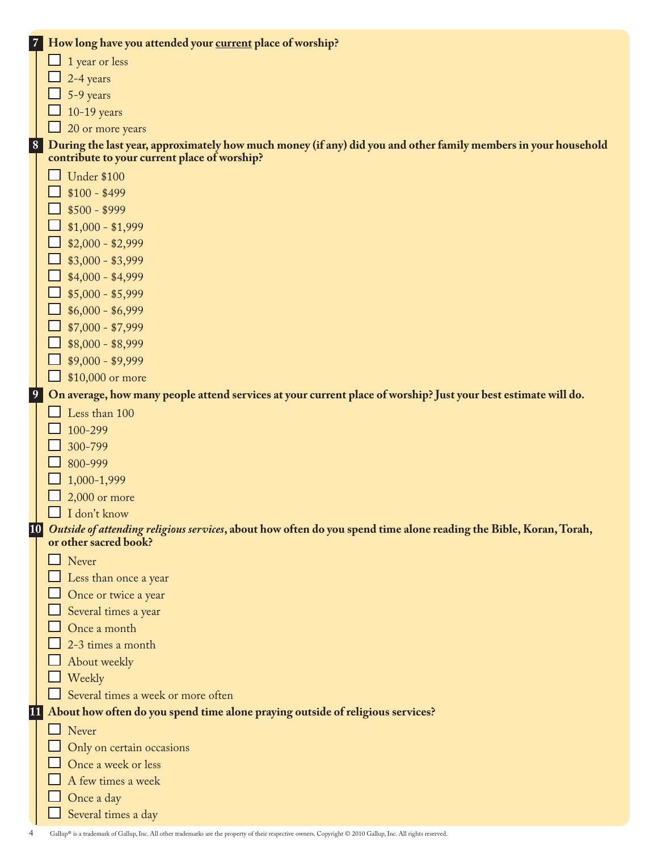|                 | 7 How long have you attended your current place of worship?                                                       |
|-----------------|-------------------------------------------------------------------------------------------------------------------|
|                 | 1 year or less                                                                                                    |
|                 | 2-4 years                                                                                                         |
|                 | 5-9 years                                                                                                         |
|                 | $10-19$ years                                                                                                     |
|                 | 20 or more years                                                                                                  |
| 8               | During the last year, approximately how much money (if any) did you and other family members in your household    |
|                 | contribute to your current place of worship?                                                                      |
|                 | <b>Under \$100</b>                                                                                                |
|                 | $$100 - $499$                                                                                                     |
|                 | $$500 - $999$                                                                                                     |
|                 | $$1,000 - $1,999$                                                                                                 |
|                 | $$2,000 - $2,999$                                                                                                 |
|                 | $$3,000 - $3,999$                                                                                                 |
|                 | $$4,000 - $4,999$                                                                                                 |
|                 | $$5,000 - $5,999$                                                                                                 |
|                 | $$6,000 - $6,999$                                                                                                 |
|                 | $$7,000 - $7,999$                                                                                                 |
|                 | $$8,000 - $8,999$                                                                                                 |
|                 | $$9,000 - $9,999$                                                                                                 |
|                 | \$10,000 or more                                                                                                  |
| 9               | On average, how many people attend services at your current place of worship? Just your best estimate will do.    |
|                 | Less than 100                                                                                                     |
|                 | 100-299                                                                                                           |
|                 | 300-799                                                                                                           |
|                 | 800-999                                                                                                           |
|                 | 1,000-1,999                                                                                                       |
|                 | $2,000$ or more                                                                                                   |
|                 | I don't know                                                                                                      |
| $\overline{10}$ | Outside of attending religious services, about how often do you spend time alone reading the Bible, Koran, Torah, |
|                 | or other sacred book?                                                                                             |
|                 | Never                                                                                                             |
|                 | Less than once a year                                                                                             |
|                 | Once or twice a year                                                                                              |
|                 | Several times a year                                                                                              |
|                 | Once a month                                                                                                      |
|                 | 2-3 times a month                                                                                                 |
|                 | About weekly                                                                                                      |
|                 | Weekly<br>Several times a week or more often                                                                      |
|                 |                                                                                                                   |
| 11              | About how often do you spend time alone praying outside of religious services?                                    |
|                 | $\Box$ Never                                                                                                      |
|                 | Only on certain occasions                                                                                         |
|                 | Once a week or less<br>A few times a week                                                                         |
|                 |                                                                                                                   |
|                 | Once a day                                                                                                        |
|                 | Several times a day                                                                                               |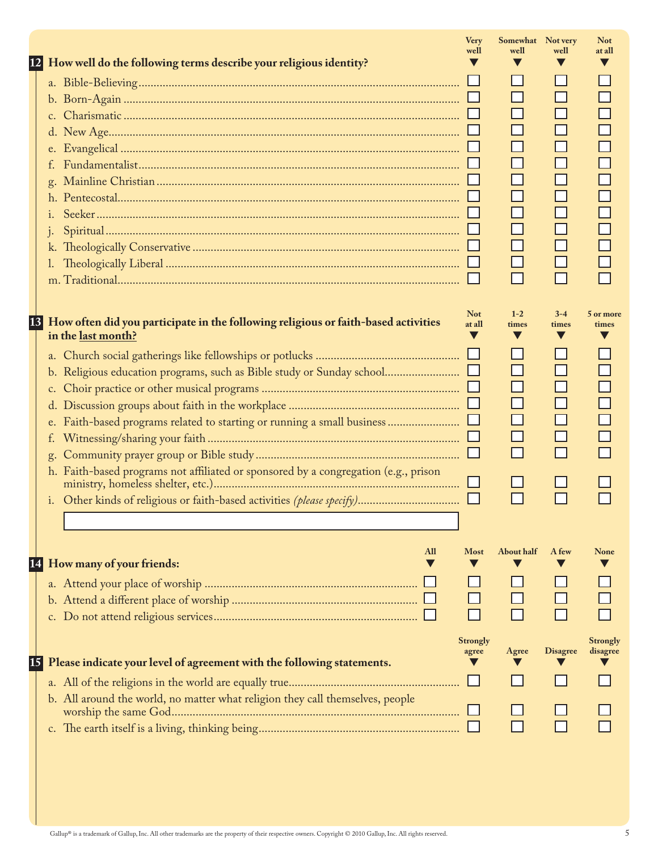| How well do the following terms describe your religious identity?<br> 12                                                             | <b>Very</b><br>well  | Somewhat Not very<br>well | well             | <b>Not</b><br>at all        |
|--------------------------------------------------------------------------------------------------------------------------------------|----------------------|---------------------------|------------------|-----------------------------|
| k.                                                                                                                                   |                      | П<br>П<br>П               |                  |                             |
| 13 <br>How often did you participate in the following religious or faith-based activities<br>in the last month?<br>f.<br>$g_{\star}$ | <b>Not</b><br>at all | $1 - 2$<br>times<br>П     | $3 - 4$<br>times | 5 or more<br>times          |
| h. Faith-based programs not affiliated or sponsored by a congregation (e.g., prison                                                  |                      |                           |                  |                             |
| All<br>How many of your friends:<br>[14]                                                                                             | <b>Most</b>          | About half                | A few            | <b>None</b>                 |
| Please indicate your level of agreement with the following statements.<br> 15                                                        | Strongly<br>agree    | Agree                     | <b>Disagree</b>  | <b>Strongly</b><br>disagree |
| b. All around the world, no matter what religion they call themselves, people                                                        |                      |                           |                  |                             |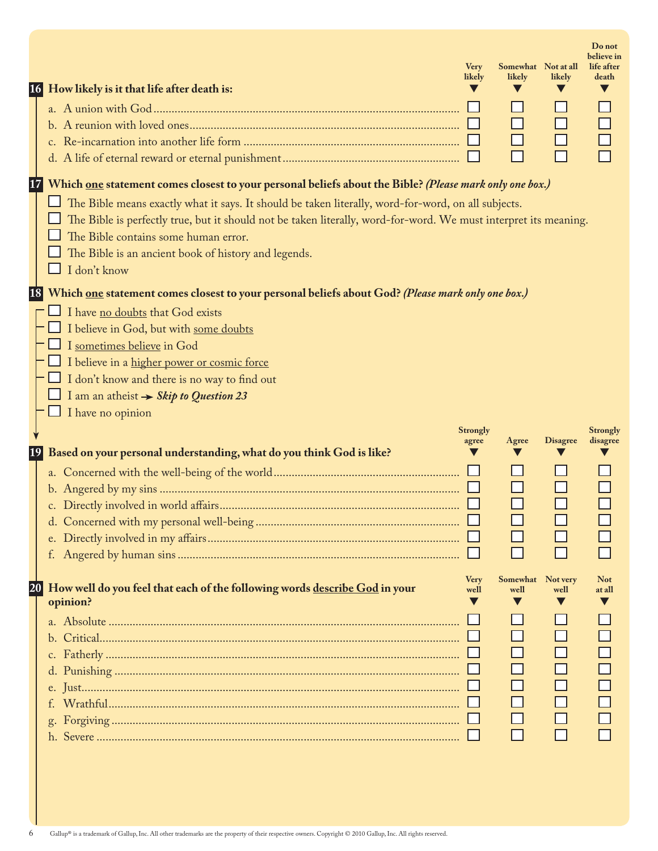| 16 | How likely is it that life after death is:                                                                                                                                                                                                                                                                                                                                                                                                                | <b>Very</b><br>likely | Somewhat Not at all<br>likely<br>$\Box$ | likely          | Do not<br>believe in<br>life after<br>death |
|----|-----------------------------------------------------------------------------------------------------------------------------------------------------------------------------------------------------------------------------------------------------------------------------------------------------------------------------------------------------------------------------------------------------------------------------------------------------------|-----------------------|-----------------------------------------|-----------------|---------------------------------------------|
| 17 | Which one statement comes closest to your personal beliefs about the Bible? (Please mark only one box.)<br>The Bible means exactly what it says. It should be taken literally, word-for-word, on all subjects.<br>The Bible is perfectly true, but it should not be taken literally, word-for-word. We must interpret its meaning.<br>The Bible contains some human error.<br>The Bible is an ancient book of history and legends.<br>$\Box$ I don't know |                       |                                         |                 |                                             |
| 18 | Which <u>one</u> statement comes closest to your personal beliefs about God? (Please mark only one box.)<br>I have no doubts that God exists<br>I believe in God, but with some doubts<br>I sometimes believe in God<br>I believe in a higher power or cosmic force<br>I don't know and there is no way to find out<br>I am an atheist $\rightarrow$ Skip to Question 23<br>$\Box$ I have no opinion                                                      | <b>Strongly</b>       |                                         |                 | <b>Strongly</b>                             |
| 19 | Based on your personal understanding, what do you think God is like?                                                                                                                                                                                                                                                                                                                                                                                      | agree                 | Agree                                   | <b>Disagree</b> | disagree                                    |
| 20 | How well do you feel that each of the following words describe God in your<br>opinion?                                                                                                                                                                                                                                                                                                                                                                    | <b>Very</b><br>well   | Somewhat Not very<br>well<br>$\Box$     | well<br>$\Box$  | <b>Not</b><br>at all                        |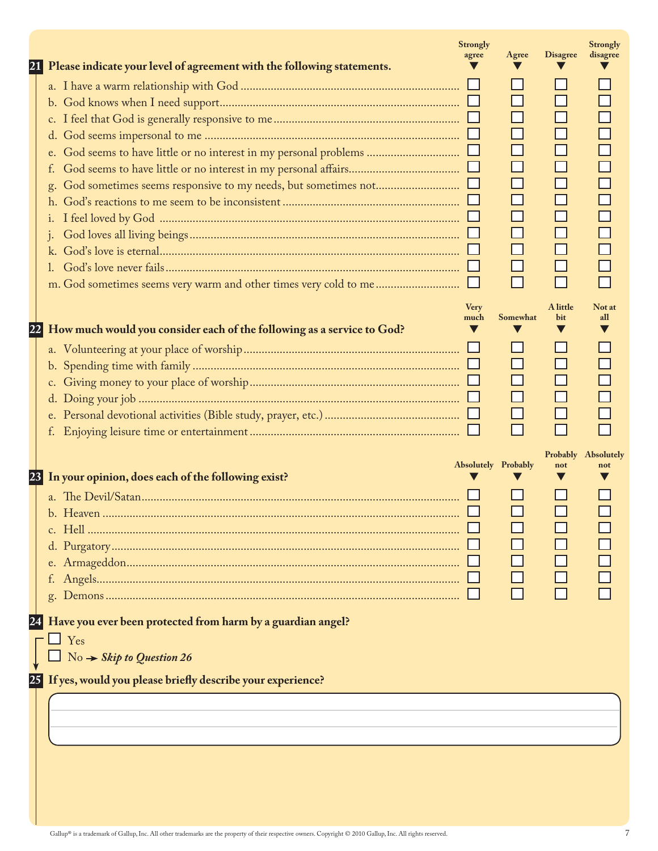| Please indicate your level of agreement with the following statements.<br>21                                                                                               | <b>Strongly</b><br>agree | Agree               | <b>Disagree</b>      | <b>Strongly</b><br>disagree |
|----------------------------------------------------------------------------------------------------------------------------------------------------------------------------|--------------------------|---------------------|----------------------|-----------------------------|
|                                                                                                                                                                            |                          | $\Box$              |                      |                             |
| How much would you consider each of the following as a service to God?<br> 22 <br>$\Box$ $\Box$ $\Box$<br>d.                                                               | <b>Very</b><br>much      | Somewhat            | A little<br>bit<br>V | Not at<br>all               |
| 23 In your opinion, does each of the following exist?<br>Have you ever been protected from harm by a guardian angel?<br>$\Box$ Yes<br>$No \rightarrow$ Skip to Question 26 |                          | Absolutely Probably | not                  | Probably Absolutely<br>not  |
| 25 If yes, would you please briefly describe your experience?                                                                                                              |                          |                     |                      |                             |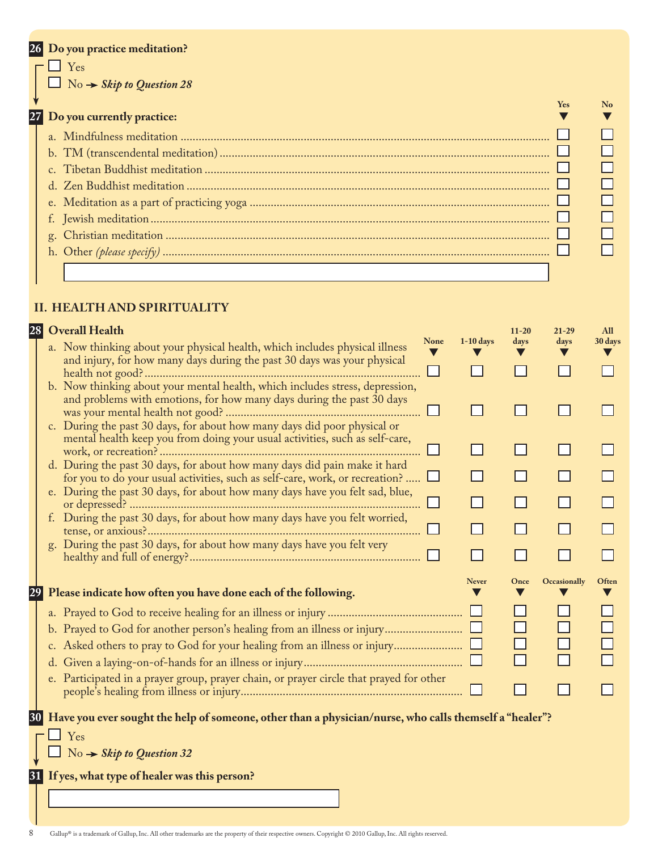|           | 26 Do you practice meditation?                       |            |
|-----------|------------------------------------------------------|------------|
|           | l Yes<br>$\Box$ No $\rightarrow$ Skip to Question 28 | <b>Yes</b> |
| $27 \mid$ | Do you currently practice:                           |            |
|           |                                                      |            |
|           |                                                      |            |
|           |                                                      |            |
|           |                                                      |            |
|           |                                                      |            |
|           |                                                      |            |
|           |                                                      |            |
|           |                                                      |            |
|           |                                                      |            |

# **No**  $\blacktriangledown$

#### **II. health and spirituality**

#### **28 Overall Health**

| ا 28 | <b>Overall Health</b>                                                                                                                                                                                                             |             |              | $11 - 20$ | 21-29        | All     |
|------|-----------------------------------------------------------------------------------------------------------------------------------------------------------------------------------------------------------------------------------|-------------|--------------|-----------|--------------|---------|
|      | a. Now thinking about your physical health, which includes physical illness<br>and injury, for how many days during the past 30 days was your physical                                                                            | <b>None</b> | $1-10$ days  | days      | days         | 30 days |
|      |                                                                                                                                                                                                                                   |             |              |           |              |         |
|      | b. Now thinking about your mental health, which includes stress, depression,<br>and problems with emotions, for how many days during the past 30 days<br>c. During the past 30 days, for about how many days did poor physical or |             |              |           |              |         |
|      | mental health keep you from doing your usual activities, such as self-care,                                                                                                                                                       |             |              |           |              |         |
|      | d. During the past 30 days, for about how many days did pain make it hard<br>for you to do your usual activities, such as self-care, work, or recreation?                                                                         |             |              |           |              |         |
|      | e. During the past 30 days, for about how many days have you felt sad, blue,                                                                                                                                                      |             |              |           |              |         |
|      | f. During the past 30 days, for about how many days have you felt worried,                                                                                                                                                        |             |              |           |              |         |
|      | g. During the past 30 days, for about how many days have you felt very                                                                                                                                                            |             |              |           |              |         |
|      |                                                                                                                                                                                                                                   |             |              |           |              |         |
|      |                                                                                                                                                                                                                                   |             | <b>Never</b> | Once      | Occasionally | Often   |
|      | Please indicate how often you have done each of the following.                                                                                                                                                                    |             |              |           |              |         |
|      |                                                                                                                                                                                                                                   |             |              |           |              |         |
|      |                                                                                                                                                                                                                                   |             |              |           |              |         |
|      |                                                                                                                                                                                                                                   |             |              | $\Box$    |              |         |
|      |                                                                                                                                                                                                                                   |             |              |           |              |         |
|      | e. Participated in a prayer group, prayer chain, or prayer circle that prayed for other                                                                                                                                           |             |              |           |              |         |
|      | 30 Have you ever sought the help of someone, other than a physician/nurse, who calls themself a "healer"?                                                                                                                         |             |              |           |              |         |
|      | $\perp$ Yes<br>$\Box$ No $\rightarrow$ Skip to Question 32                                                                                                                                                                        |             |              |           |              |         |

**31 If yes, what type of healer was this person?**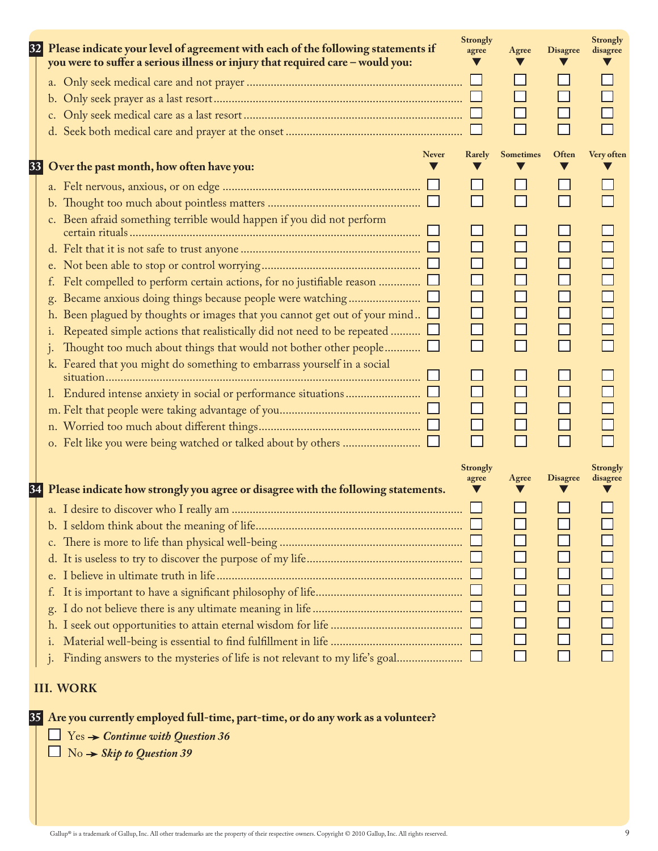| 32   | Please indicate your level of agreement with each of the following statements if<br>you were to suffer a serious illness or injury that required care - would you:                                                                                                                                                                                       | <b>Strongly</b><br>agree                  | Agree            | <b>Disagree</b>                                | <b>Strongly</b><br>disagree |
|------|----------------------------------------------------------------------------------------------------------------------------------------------------------------------------------------------------------------------------------------------------------------------------------------------------------------------------------------------------------|-------------------------------------------|------------------|------------------------------------------------|-----------------------------|
|      | c.                                                                                                                                                                                                                                                                                                                                                       |                                           |                  |                                                |                             |
| $33$ | <b>Never</b><br>Over the past month, how often have you:                                                                                                                                                                                                                                                                                                 | Rarely                                    | <b>Sometimes</b> | Often                                          | Very often                  |
|      |                                                                                                                                                                                                                                                                                                                                                          |                                           |                  |                                                |                             |
|      | c. Been afraid something terrible would happen if you did not perform<br>f.<br>g.<br>h. Been plagued by thoughts or images that you cannot get out of your mind $\Box$<br>Repeated simple actions that realistically did not need to be repeated $\Box$<br>i.<br>Thought too much about things that would not bother other people $\Box$<br>$\mathbf{1}$ | □<br>$\Box$<br>$\Box$<br>$\Box$<br>$\Box$ |                  | $\Box$<br>$\Box$<br>$\Box$<br>$\Box$<br>$\Box$ |                             |
|      | k. Feared that you might do something to embarrass yourself in a social                                                                                                                                                                                                                                                                                  | $\Box$<br>$\Box$                          |                  | $\Box$<br>$\Box$<br>$\Box$                     |                             |
|      | 34 Please indicate how strongly you agree or disagree with the following statements.                                                                                                                                                                                                                                                                     | <b>Strongly</b><br>agree                  | Agree            | <b>Disagree</b>                                | <b>Strongly</b><br>disagree |
|      | c.<br>d.<br>e.<br>$\perp$<br>g.<br>i.                                                                                                                                                                                                                                                                                                                    |                                           |                  |                                                |                             |

#### **III. work**

**35 Are you currently employed full-time, part-time, or do any work as a volunteer?**

Yes *Continue with Question 36*

No *Skip to Question 39*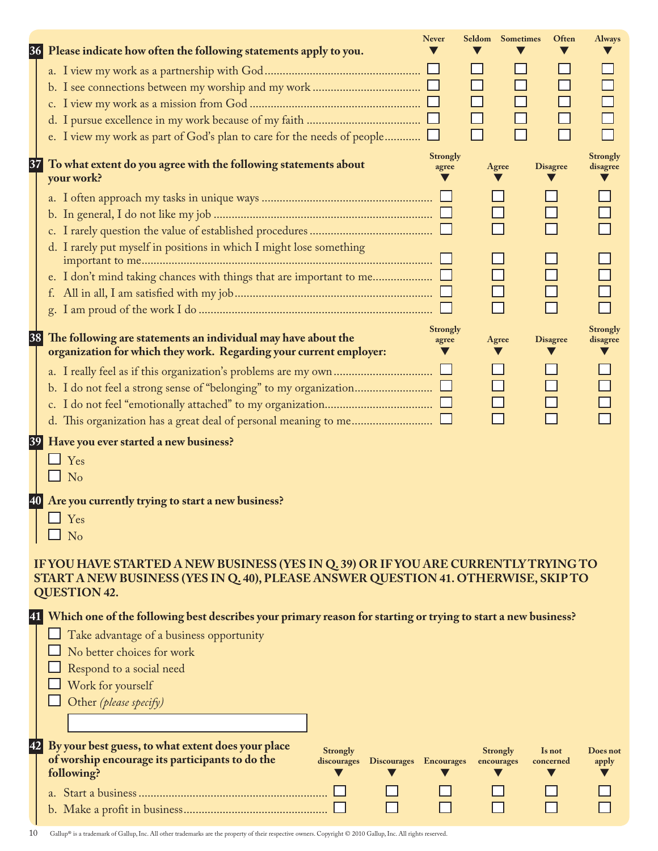| 36        | Please indicate how often the following statements apply to you.                                                                                                          | <b>Never</b>             | <b>Seldom</b> Sometimes       | Often               | <b>Always</b>               |
|-----------|---------------------------------------------------------------------------------------------------------------------------------------------------------------------------|--------------------------|-------------------------------|---------------------|-----------------------------|
|           |                                                                                                                                                                           |                          |                               |                     |                             |
|           |                                                                                                                                                                           |                          |                               |                     |                             |
|           |                                                                                                                                                                           |                          |                               |                     |                             |
|           |                                                                                                                                                                           |                          |                               |                     |                             |
|           | e. I view my work as part of God's plan to care for the needs of people                                                                                                   |                          |                               | П                   |                             |
| 37        | To what extent do you agree with the following statements about                                                                                                           | <b>Strongly</b><br>agree | Agree                         | <b>Disagree</b>     | <b>Strongly</b><br>disagree |
|           | your work?                                                                                                                                                                |                          |                               |                     |                             |
|           |                                                                                                                                                                           |                          |                               |                     |                             |
|           |                                                                                                                                                                           |                          |                               |                     |                             |
|           |                                                                                                                                                                           |                          |                               |                     |                             |
|           | d. I rarely put myself in positions in which I might lose something                                                                                                       |                          |                               |                     |                             |
|           |                                                                                                                                                                           |                          |                               |                     |                             |
|           |                                                                                                                                                                           |                          |                               |                     |                             |
|           |                                                                                                                                                                           |                          |                               |                     |                             |
|           |                                                                                                                                                                           | <b>Strongly</b>          |                               |                     | <b>Strongly</b>             |
| 38        | The following are statements an individual may have about the                                                                                                             | agree                    | Agree                         | <b>Disagree</b>     | disagree                    |
|           | organization for which they work. Regarding your current employer:                                                                                                        |                          |                               | v                   |                             |
|           |                                                                                                                                                                           |                          |                               |                     |                             |
|           |                                                                                                                                                                           |                          |                               |                     |                             |
|           |                                                                                                                                                                           |                          |                               |                     |                             |
|           |                                                                                                                                                                           |                          |                               |                     |                             |
|           | Have you ever started a new business?                                                                                                                                     |                          |                               |                     |                             |
|           | $\Box$ Yes                                                                                                                                                                |                          |                               |                     |                             |
|           | $\Box$ No                                                                                                                                                                 |                          |                               |                     |                             |
| <b>40</b> | Are you currently trying to start a new business?                                                                                                                         |                          |                               |                     |                             |
|           | Yes                                                                                                                                                                       |                          |                               |                     |                             |
|           | No                                                                                                                                                                        |                          |                               |                     |                             |
|           |                                                                                                                                                                           |                          |                               |                     |                             |
|           | IF YOU HAVE STARTED A NEW BUSINESS (YES IN Q. 39) OR IF YOU ARE CURRENTLY TRYING TO<br>START A NEW BUSINESS (YES IN Q. 40), PLEASE ANSWER QUESTION 41. OTHERWISE, SKIP TO |                          |                               |                     |                             |
|           | <b>QUESTION 42.</b>                                                                                                                                                       |                          |                               |                     |                             |
|           |                                                                                                                                                                           |                          |                               |                     |                             |
| 41        | Which one of the following best describes your primary reason for starting or trying to start a new business?                                                             |                          |                               |                     |                             |
|           | Take advantage of a business opportunity                                                                                                                                  |                          |                               |                     |                             |
|           | No better choices for work                                                                                                                                                |                          |                               |                     |                             |
|           | Respond to a social need                                                                                                                                                  |                          |                               |                     |                             |
|           | Work for yourself                                                                                                                                                         |                          |                               |                     |                             |
|           | Other (please specify)                                                                                                                                                    |                          |                               |                     |                             |
|           |                                                                                                                                                                           |                          |                               |                     |                             |
| 42        | By your best guess, to what extent does your place                                                                                                                        |                          |                               |                     |                             |
|           | Strongly<br>of worship encourage its participants to do the<br>Discourages Encourages<br>discourages                                                                      |                          | <b>Strongly</b><br>encourages | Is not<br>concerned | Does not<br>apply           |
|           | following?                                                                                                                                                                |                          |                               |                     |                             |
|           |                                                                                                                                                                           |                          |                               |                     |                             |
|           |                                                                                                                                                                           |                          |                               |                     |                             |

 $10$  Gallup® is a trademark of Gallup, Inc. All other trademarks are the property of their respective owners. Copyright © 2010 Gallup, Inc. All rights reserved.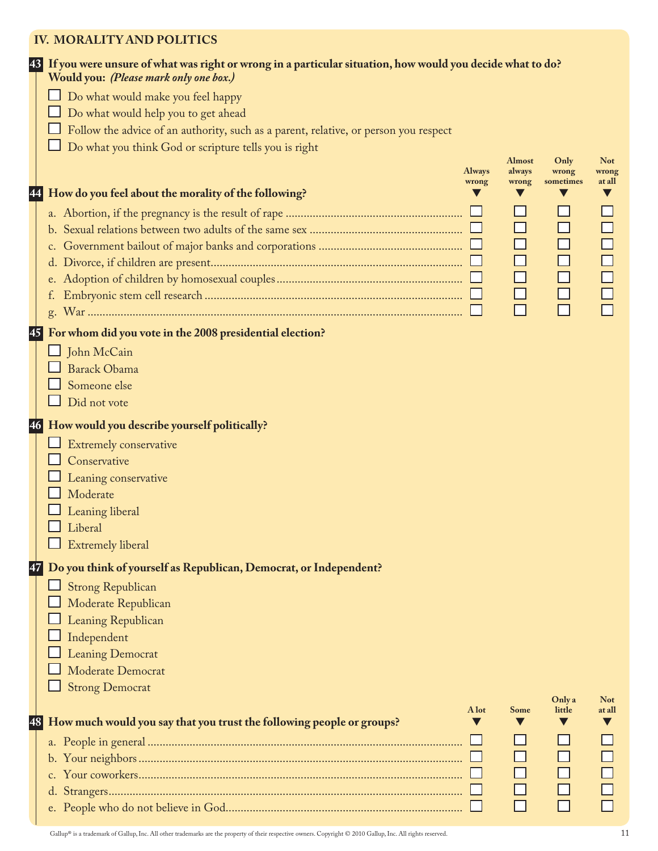#### **Iv. MORALITY AND POLITICS**

|                   | 43 If you were unsure of what was right or wrong in a particular situation, how would you decide what to do?<br>Would you: (Please mark only one box.) |                        |                 |                    |                 |
|-------------------|--------------------------------------------------------------------------------------------------------------------------------------------------------|------------------------|-----------------|--------------------|-----------------|
|                   | Do what would make you feel happy                                                                                                                      |                        |                 |                    |                 |
|                   | Do what would help you to get ahead                                                                                                                    |                        |                 |                    |                 |
|                   | Follow the advice of an authority, such as a parent, relative, or person you respect                                                                   |                        |                 |                    |                 |
|                   | Do what you think God or scripture tells you is right                                                                                                  |                        |                 |                    |                 |
|                   |                                                                                                                                                        |                        | <b>Almost</b>   | Only               | <b>Not</b>      |
|                   |                                                                                                                                                        | <b>Always</b><br>wrong | always<br>wrong | wrong<br>sometimes | wrong<br>at all |
| $\boldsymbol{44}$ | How do you feel about the morality of the following?                                                                                                   |                        |                 |                    |                 |
|                   |                                                                                                                                                        |                        |                 |                    |                 |
|                   |                                                                                                                                                        |                        |                 | $\Box$             | $\Box$          |
|                   |                                                                                                                                                        |                        |                 |                    | $\Box$          |
|                   | d.                                                                                                                                                     |                        | $\Box$          | $\Box$             | $\Box$          |
|                   |                                                                                                                                                        |                        | $\Box$          | $\Box$             | $\Box$          |
|                   |                                                                                                                                                        |                        | $\Box$          | $\Box$             |                 |
|                   | g.                                                                                                                                                     |                        | $\Box$          | $\Box$             |                 |
|                   |                                                                                                                                                        |                        |                 |                    |                 |
| 45                | For whom did you vote in the 2008 presidential election?                                                                                               |                        |                 |                    |                 |
|                   | $\Box$ John McCain                                                                                                                                     |                        |                 |                    |                 |
|                   | <b>Barack Obama</b>                                                                                                                                    |                        |                 |                    |                 |
|                   | Someone else                                                                                                                                           |                        |                 |                    |                 |
|                   | Did not vote                                                                                                                                           |                        |                 |                    |                 |
| 46                | How would you describe yourself politically?                                                                                                           |                        |                 |                    |                 |
|                   | Extremely conservative                                                                                                                                 |                        |                 |                    |                 |
|                   | Conservative                                                                                                                                           |                        |                 |                    |                 |
|                   | Leaning conservative                                                                                                                                   |                        |                 |                    |                 |
|                   | Moderate                                                                                                                                               |                        |                 |                    |                 |
|                   | Leaning liberal                                                                                                                                        |                        |                 |                    |                 |
|                   | Liberal                                                                                                                                                |                        |                 |                    |                 |
|                   | Extremely liberal                                                                                                                                      |                        |                 |                    |                 |
| 47                |                                                                                                                                                        |                        |                 |                    |                 |
|                   | Do you think of yourself as Republican, Democrat, or Independent?                                                                                      |                        |                 |                    |                 |
|                   | <b>Strong Republican</b>                                                                                                                               |                        |                 |                    |                 |
|                   | Moderate Republican                                                                                                                                    |                        |                 |                    |                 |
|                   | Leaning Republican                                                                                                                                     |                        |                 |                    |                 |
|                   | Independent                                                                                                                                            |                        |                 |                    |                 |
|                   | <b>Leaning Democrat</b>                                                                                                                                |                        |                 |                    |                 |
|                   | Moderate Democrat                                                                                                                                      |                        |                 |                    |                 |
|                   | <b>Strong Democrat</b>                                                                                                                                 |                        |                 | Only a             | <b>Not</b>      |
|                   |                                                                                                                                                        | A lot                  | Some            | little             | at all          |
| 48                | How much would you say that you trust the following people or groups?                                                                                  |                        |                 |                    |                 |
|                   |                                                                                                                                                        |                        |                 |                    |                 |
|                   |                                                                                                                                                        |                        |                 |                    |                 |
|                   |                                                                                                                                                        |                        |                 |                    |                 |
|                   |                                                                                                                                                        |                        |                 |                    |                 |
|                   |                                                                                                                                                        |                        |                 |                    |                 |
|                   |                                                                                                                                                        |                        |                 |                    |                 |

Gallup® is a trademark of Gallup, Inc. All other trademarks are the property of their respective owners. Copyright © 2010 Gallup, Inc. All rights reserved. 11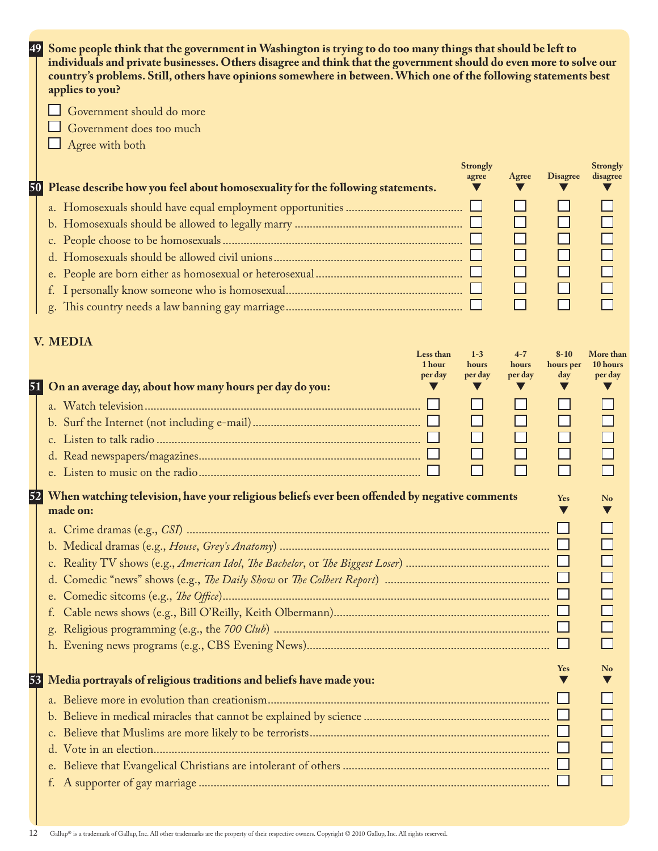| 49 | Some people think that the government in Washington is trying to do too many things that should be left to                                                                                                                                                |                  |                             |
|----|-----------------------------------------------------------------------------------------------------------------------------------------------------------------------------------------------------------------------------------------------------------|------------------|-----------------------------|
|    | individuals and private businesses. Others disagree and think that the government should do even more to solve our<br>country's problems. Still, others have opinions somewhere in between. Which one of the following statements best<br>applies to you? |                  |                             |
|    | Government should do more                                                                                                                                                                                                                                 |                  |                             |
|    | Government does too much                                                                                                                                                                                                                                  |                  |                             |
|    | Agree with both                                                                                                                                                                                                                                           |                  |                             |
|    |                                                                                                                                                                                                                                                           |                  |                             |
|    | <b>Strongly</b><br>Agree<br>agree                                                                                                                                                                                                                         | <b>Disagree</b>  | <b>Strongly</b><br>disagree |
| 50 | Please describe how you feel about homosexuality for the following statements.<br>v                                                                                                                                                                       |                  |                             |
|    |                                                                                                                                                                                                                                                           |                  |                             |
|    |                                                                                                                                                                                                                                                           |                  |                             |
|    |                                                                                                                                                                                                                                                           |                  |                             |
|    |                                                                                                                                                                                                                                                           | $\Box$           |                             |
|    |                                                                                                                                                                                                                                                           | $\Box$           |                             |
|    | f.                                                                                                                                                                                                                                                        | $\Box$           |                             |
|    | П<br>g.                                                                                                                                                                                                                                                   |                  |                             |
|    |                                                                                                                                                                                                                                                           |                  |                             |
|    | <b>V. MEDIA</b>                                                                                                                                                                                                                                           |                  |                             |
|    | Less than<br>$1 - 3$<br>$4 - 7$                                                                                                                                                                                                                           | $8 - 10$         | More than                   |
|    | 1 hour<br>hours<br>hours<br>per day<br>per day<br>per day                                                                                                                                                                                                 | hours per<br>day | 10 hours<br>per day         |
| 51 | On an average day, about how many hours per day do you:                                                                                                                                                                                                   | v                |                             |
|    |                                                                                                                                                                                                                                                           |                  |                             |
|    |                                                                                                                                                                                                                                                           |                  |                             |
|    |                                                                                                                                                                                                                                                           |                  |                             |
|    |                                                                                                                                                                                                                                                           |                  |                             |
|    |                                                                                                                                                                                                                                                           |                  |                             |
|    |                                                                                                                                                                                                                                                           |                  |                             |
| 52 | When watching television, have your religious beliefs ever been offended by negative comments                                                                                                                                                             | <b>Yes</b>       | No                          |
|    | made on:                                                                                                                                                                                                                                                  |                  |                             |
|    |                                                                                                                                                                                                                                                           |                  |                             |
|    |                                                                                                                                                                                                                                                           |                  |                             |
|    | c.                                                                                                                                                                                                                                                        |                  |                             |
|    | d.                                                                                                                                                                                                                                                        |                  |                             |
|    | e.                                                                                                                                                                                                                                                        |                  |                             |
|    |                                                                                                                                                                                                                                                           |                  |                             |
|    | g.                                                                                                                                                                                                                                                        |                  |                             |
|    |                                                                                                                                                                                                                                                           |                  |                             |
|    |                                                                                                                                                                                                                                                           | Yes              | No                          |
| 53 | Media portrayals of religious traditions and beliefs have made you:                                                                                                                                                                                       |                  |                             |
|    |                                                                                                                                                                                                                                                           |                  |                             |
|    |                                                                                                                                                                                                                                                           |                  |                             |
|    | c.                                                                                                                                                                                                                                                        |                  |                             |
|    | d.                                                                                                                                                                                                                                                        |                  |                             |
|    | e.                                                                                                                                                                                                                                                        |                  |                             |
|    | f.                                                                                                                                                                                                                                                        |                  |                             |
|    |                                                                                                                                                                                                                                                           |                  |                             |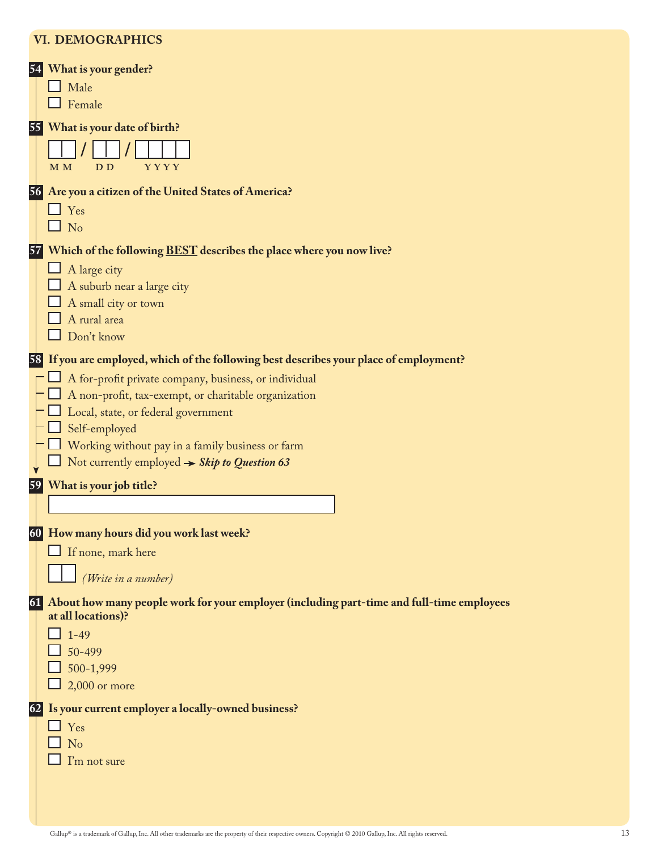#### **VI. Demographics**

| 541 | What is your gender?                                                                                         |
|-----|--------------------------------------------------------------------------------------------------------------|
|     | Male                                                                                                         |
|     | Female                                                                                                       |
|     | 55 What is your date of birth?                                                                               |
|     |                                                                                                              |
|     | <b>YYYY</b><br>M <sub>M</sub><br>D <sub>D</sub>                                                              |
|     |                                                                                                              |
|     | 56 Are you a citizen of the United States of America?                                                        |
|     | $\Box$ Yes                                                                                                   |
|     | $\Box$ No                                                                                                    |
|     | 57 Which of the following <b>BEST</b> describes the place where you now live?                                |
|     | A large city                                                                                                 |
|     | A suburb near a large city                                                                                   |
|     | A small city or town                                                                                         |
|     | A rural area                                                                                                 |
|     | Don't know                                                                                                   |
|     | 58 If you are employed, which of the following best describes your place of employment?                      |
|     | A for-profit private company, business, or individual                                                        |
|     | A non-profit, tax-exempt, or charitable organization                                                         |
|     | Local, state, or federal government                                                                          |
|     | Self-employed                                                                                                |
|     | Working without pay in a family business or farm<br>Not currently employed $\rightarrow$ Skip to Question 63 |
|     |                                                                                                              |
|     | 59 What is your job title?                                                                                   |
|     |                                                                                                              |
|     | 60 How many hours did you work last week?                                                                    |
|     | If none, mark here                                                                                           |
|     |                                                                                                              |
|     | (Write in a number)                                                                                          |
| 61  | About how many people work for your employer (including part-time and full-time employees                    |
|     | at all locations)?                                                                                           |
|     | $1 - 49$                                                                                                     |
|     | 50-499<br>500-1,999                                                                                          |
|     | $2,000$ or more                                                                                              |
|     |                                                                                                              |
| 62  | Is your current employer a locally-owned business?                                                           |
|     | $\Box$ Yes                                                                                                   |
|     | No<br>I'm not sure                                                                                           |
|     |                                                                                                              |
|     |                                                                                                              |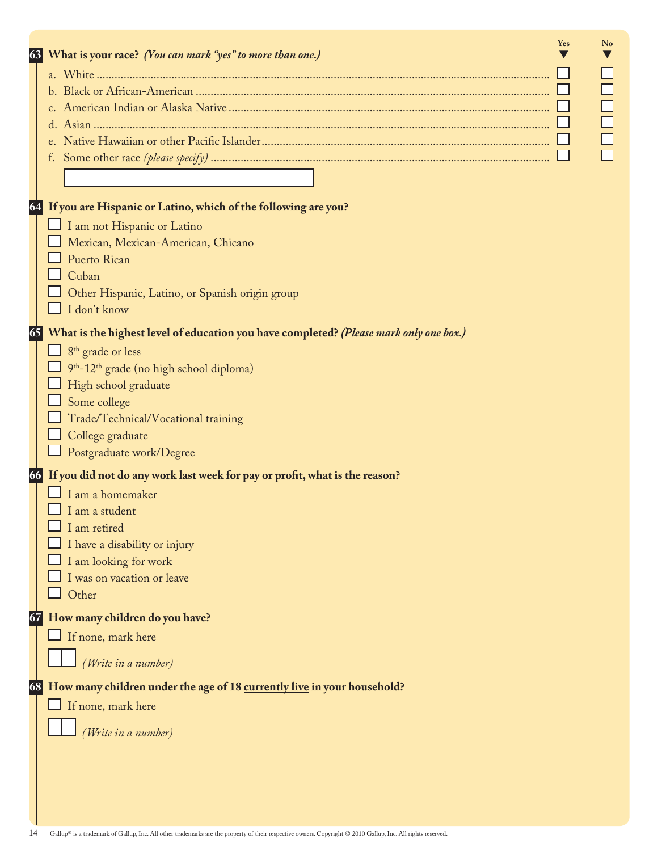| 63 | What is your race? (You can mark "yes" to more than one.)                              | Yes | N <sub>o</sub> |
|----|----------------------------------------------------------------------------------------|-----|----------------|
|    |                                                                                        |     |                |
|    |                                                                                        |     |                |
|    |                                                                                        |     |                |
|    |                                                                                        |     |                |
|    |                                                                                        |     |                |
|    |                                                                                        |     |                |
|    |                                                                                        |     |                |
|    |                                                                                        |     |                |
| 64 | If you are Hispanic or Latino, which of the following are you?                         |     |                |
|    | I am not Hispanic or Latino                                                            |     |                |
|    | Mexican, Mexican-American, Chicano                                                     |     |                |
|    | Puerto Rican                                                                           |     |                |
|    | Cuban                                                                                  |     |                |
|    | Other Hispanic, Latino, or Spanish origin group                                        |     |                |
|    | I don't know                                                                           |     |                |
|    |                                                                                        |     |                |
| 65 | What is the highest level of education you have completed? (Please mark only one box.) |     |                |
|    | 8 <sup>th</sup> grade or less                                                          |     |                |
|    | 9 <sup>th</sup> -12 <sup>th</sup> grade (no high school diploma)                       |     |                |
|    | High school graduate                                                                   |     |                |
|    | Some college                                                                           |     |                |
|    | Trade/Technical/Vocational training                                                    |     |                |
|    | College graduate                                                                       |     |                |
|    | Postgraduate work/Degree                                                               |     |                |
| 66 | If you did not do any work last week for pay or profit, what is the reason?            |     |                |
|    | I am a homemaker                                                                       |     |                |
|    | I am a student                                                                         |     |                |
|    | I am retired                                                                           |     |                |
|    | I have a disability or injury                                                          |     |                |
|    | I am looking for work                                                                  |     |                |
|    | I was on vacation or leave                                                             |     |                |
|    | Other                                                                                  |     |                |
| 67 | How many children do you have?                                                         |     |                |
|    | If none, mark here                                                                     |     |                |
|    |                                                                                        |     |                |
|    | (Write in a number)                                                                    |     |                |
| 68 | How many children under the age of 18 currently live in your household?                |     |                |
|    |                                                                                        |     |                |
|    | If none, mark here                                                                     |     |                |
|    | (Write in a number)                                                                    |     |                |
|    |                                                                                        |     |                |
|    |                                                                                        |     |                |
|    |                                                                                        |     |                |
|    |                                                                                        |     |                |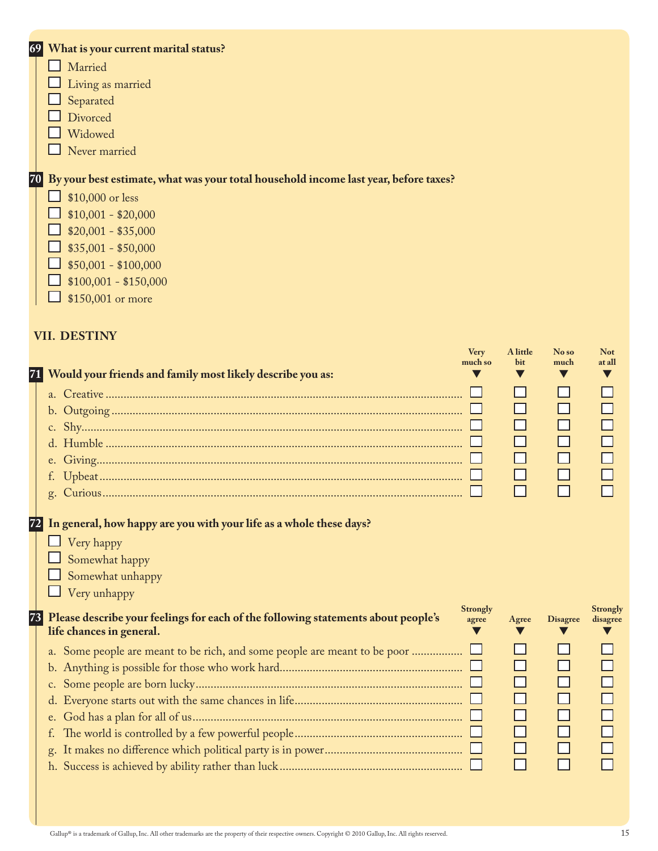| What is your current marital status?<br>69                                              |             |          |    |
|-----------------------------------------------------------------------------------------|-------------|----------|----|
| Married                                                                                 |             |          |    |
| Living as married                                                                       |             |          |    |
| Separated                                                                               |             |          |    |
| Divorced                                                                                |             |          |    |
| Widowed                                                                                 |             |          |    |
| Never married                                                                           |             |          |    |
| 70 By your best estimate, what was your total household income last year, before taxes? |             |          |    |
| \$10,000 or less                                                                        |             |          |    |
| $$10,001 - $20,000$                                                                     |             |          |    |
| $$20,001 - $35,000$                                                                     |             |          |    |
| $$35,001 - $50,000$                                                                     |             |          |    |
| $$50,001 - $100,000$                                                                    |             |          |    |
| $$100,001 - $150,000$                                                                   |             |          |    |
| \$150,001 or more                                                                       |             |          |    |
|                                                                                         |             |          |    |
| <b>VII. DESTINY</b>                                                                     |             |          |    |
|                                                                                         | <b>Very</b> | A little | No |

| 71 Would your friends and family most likely describe you as:                                                                                          | <b>Very</b><br>much so   | A little<br>bit                       | No so<br>much<br>V | <b>Not</b><br>at all |
|--------------------------------------------------------------------------------------------------------------------------------------------------------|--------------------------|---------------------------------------|--------------------|----------------------|
|                                                                                                                                                        |                          | H<br>П<br>П<br>$\mathsf{L}$<br>$\Box$ | П<br>П             |                      |
| 72 In general, how happy are you with your life as a whole these days?<br>$\Box$ Very happy<br>Somewhat happy<br>Somewhat unhappy<br>Very unhappy<br>ப |                          |                                       |                    |                      |
| 73 Please describe your feelings for each of the following statements about people's<br>life chances in general.                                       | <b>Strongly</b><br>agree | Agree                                 | <b>Disagree</b>    | Strongly<br>disagree |
|                                                                                                                                                        |                          | H<br>П<br>П<br>$\Box$<br>$\Box$<br>П  | П                  |                      |